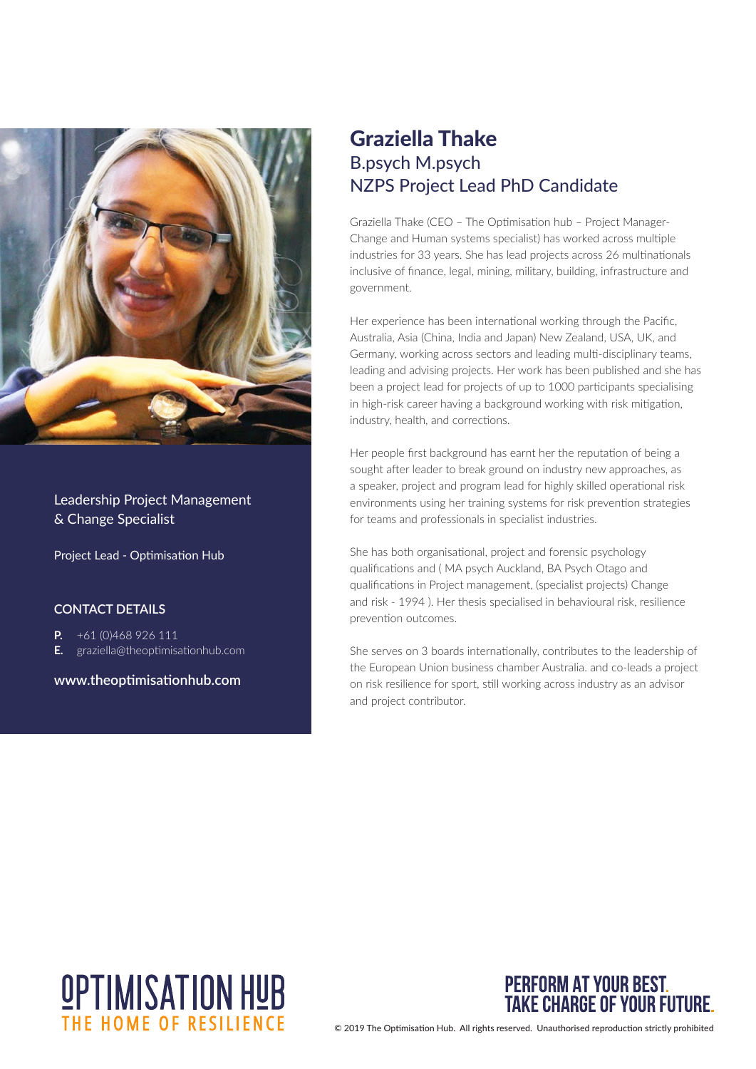

Leadership Project Management & Change Specialist

Project Lead - Optimisation Hub

#### **CONTACT DETAILS**

- **P.** +61 (0)468 926 111
- **E.** graziella@theoptimisationhub.com

**www.theoptimisationhub.com**

#### Graziella Thake B.psych M.psych NZPS Project Lead PhD Candidate

Graziella Thake (CEO – The Optimisation hub – Project Manager-Change and Human systems specialist) has worked across multiple industries for 33 years. She has lead projects across 26 multinationals inclusive of finance, legal, mining, military, building, infrastructure and government.

Her experience has been international working through the Pacific, Australia, Asia (China, India and Japan) New Zealand, USA, UK, and Germany, working across sectors and leading multi-disciplinary teams, leading and advising projects. Her work has been published and she has been a project lead for projects of up to 1000 participants specialising in high-risk career having a background working with risk mitigation, industry, health, and corrections.

Her people first background has earnt her the reputation of being a sought after leader to break ground on industry new approaches, as a speaker, project and program lead for highly skilled operational risk environments using her training systems for risk prevention strategies for teams and professionals in specialist industries.

She has both organisational, project and forensic psychology qualifications and ( MA psych Auckland, BA Psych Otago and qualifications in Project management, (specialist projects) Change and risk - 1994 ). Her thesis specialised in behavioural risk, resilience prevention outcomes.

She serves on 3 boards internationally, contributes to the leadership of the European Union business chamber Australia. and co-leads a project on risk resilience for sport, still working across industry as an advisor and project contributor.





© 2019 The Optimisation Hub. All rights reserved. Unauthorised reproduction strictly prohibited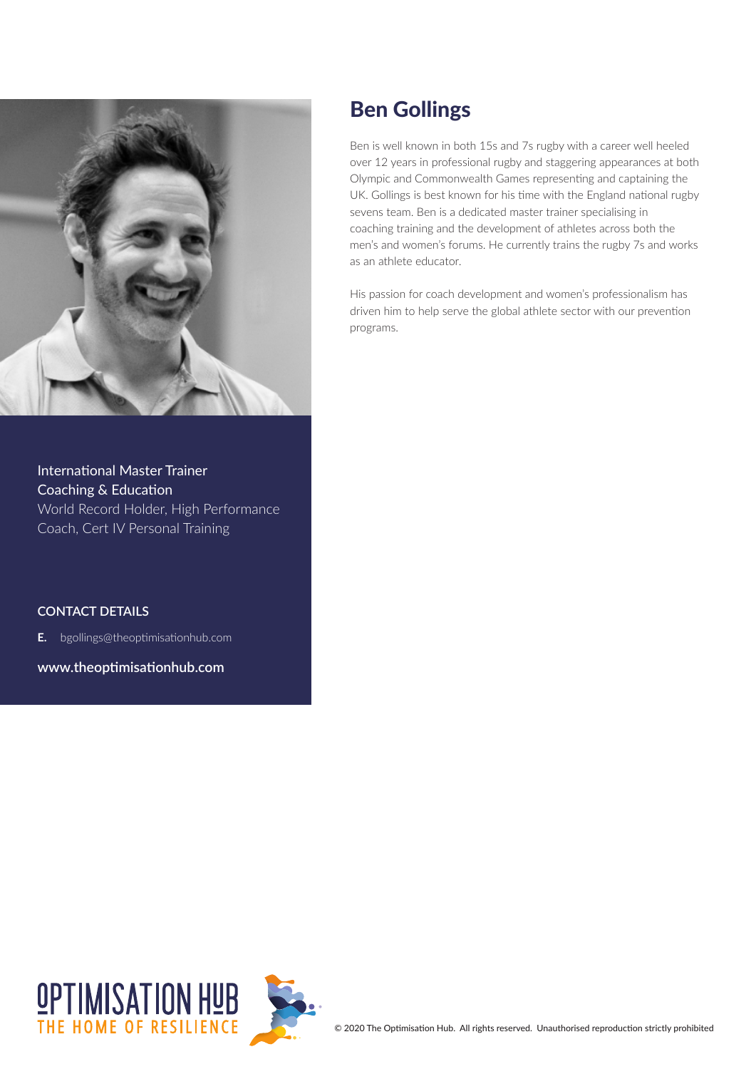

International Master Trainer Coaching & Education World Record Holder, High Performance Coach, Cert IV Personal Training

**CONTACT DETAILS**

**E.** bgollings@theoptimisationhub.com

**www.theoptimisationhub.com**

## Ben Gollings

Ben is well known in both 15s and 7s rugby with a career well heeled over 12 years in professional rugby and staggering appearances at both Olympic and Commonwealth Games representing and captaining the UK. Gollings is best known for his time with the England national rugby sevens team. Ben is a dedicated master trainer specialising in coaching training and the development of athletes across both the men's and women's forums. He currently trains the rugby 7s and works as an athlete educator.

His passion for coach development and women's professionalism has driven him to help serve the global athlete sector with our prevention programs.